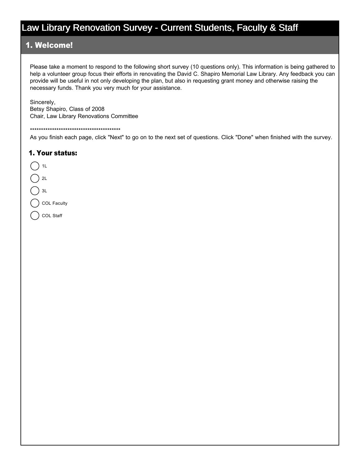#### 1. Welcome!

Please take a moment to respond to the following short survey (10 questions only). This information is being gathered to help a volunteer group focus their efforts in renovating the David C. Shapiro Memorial Law Library. Any feedback you can provide will be useful in not only developing the plan, but also in requesting grant money and otherwise raising the necessary funds. Thank you very much for your assistance.

Sincerely, Betsy Shapiro, Class of 2008 Chair, Law Library Renovations Committee

\*\*\*\*\*\*\*\*\*\*\*\*\*\*\*\*\*\*\*\*\*\*\*\*\*\*\*\*\*\*\*\*\*\*\*\*\*\*\*\*\*

As you finish each page, click "Next" to go on to the next set of questions. Click "Done" when finished with the survey.

#### 1. Your status:

- $1L$  $2L$
- $3L$

COL Faculty

COL Staff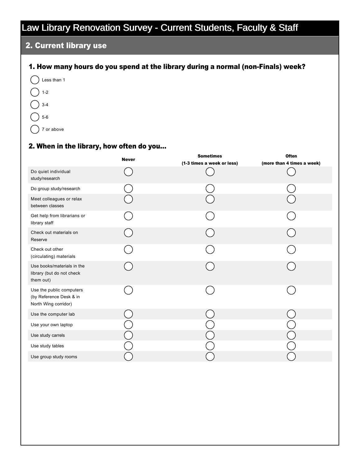## 2. Current library use

#### 1. How many hours do you spend at the library during a normal (non-Finals) week?

 $\bigcap$  Less than 1  $\left( \begin{array}{c} \end{array} \right)$  1-2  $\binom{1}{3}$  3-4  $()$  5-6

 $($ ) 7 or above

#### 2. When in the library, how often do you...

|                                                                             | <b>Never</b> | <b>Sometimes</b>           | <b>Often</b>               |
|-----------------------------------------------------------------------------|--------------|----------------------------|----------------------------|
|                                                                             |              | (1-3 times a week or less) | (more than 4 times a week) |
| Do quiet individual<br>study/research                                       |              |                            |                            |
| Do group study/research                                                     |              |                            |                            |
| Meet colleagues or relax<br>between classes                                 |              |                            |                            |
| Get help from librarians or<br>library staff                                |              |                            |                            |
| Check out materials on<br>Reserve                                           |              |                            |                            |
| Check out other<br>(circulating) materials                                  |              |                            |                            |
| Use books/materials in the<br>library (but do not check<br>them out)        |              |                            |                            |
| Use the public computers<br>(by Reference Desk & in<br>North Wing corridor) |              |                            |                            |
| Use the computer lab                                                        |              |                            |                            |
| Use your own laptop                                                         |              |                            |                            |
| Use study carrels                                                           |              |                            |                            |
| Use study tables                                                            |              |                            |                            |
| Use group study rooms                                                       |              |                            |                            |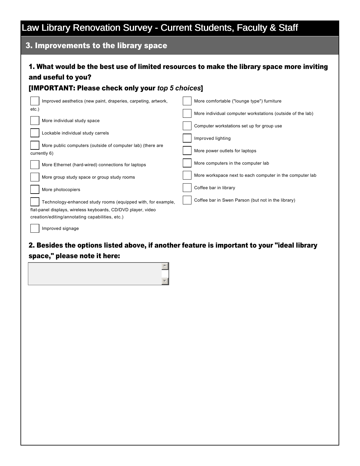## 3. Improvements to the library space

## 1. What would be the best use of limited resources to make the library space more inviting and useful to you?

#### [IMPORTANT: Please check only your *top 5 choices*]

| Improved aesthetics (new paint, draperies, carpeting, artwork, | More comfortable ("lounge type") furniture                 |  |  |  |
|----------------------------------------------------------------|------------------------------------------------------------|--|--|--|
| etc.)                                                          | More individual computer workstations (outside of the lab) |  |  |  |
| More individual study space                                    | Computer workstations set up for group use                 |  |  |  |
| Lockable individual study carrels                              | Improved lighting                                          |  |  |  |
| More public computers (outside of computer lab) (there are     |                                                            |  |  |  |
| currently 6)                                                   | More power outlets for laptops                             |  |  |  |
| More Ethernet (hard-wired) connections for laptops             | More computers in the computer lab                         |  |  |  |
| More group study space or group study rooms                    | More workspace next to each computer in the computer lab   |  |  |  |
| More photocopiers                                              | Coffee bar in library                                      |  |  |  |
| Technology-enhanced study rooms (equipped with, for example,   | Coffee bar in Swen Parson (but not in the library)         |  |  |  |
| flat-panel displays, wireless keyboards, CD/DVD player, video  |                                                            |  |  |  |
| creation/editing/annotating capabilities, etc.)                |                                                            |  |  |  |
| Improved signage                                               |                                                            |  |  |  |

## 2. Besides the options listed above, if another feature is important to your "ideal library space," please note it here:

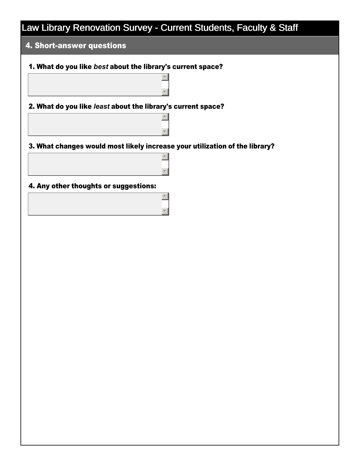$\overline{a}$ 

 $\overline{\phantom{a}}$ 

 $\left| \right|$ 

 $\overline{\mathbf{v}}$ 

 $\triangleq$ 

 $\blacktriangledown$ 

 $\triangleq$ 

 $\overline{\mathbf{v}}$ 

### 4. Short-answer questions

#### 1. What do you like *best* about the library's current space?

2. What do you like *least* about the library's current space?

3. What changes would most likely increase your utilization of the library?

4. Any other thoughts or suggestions: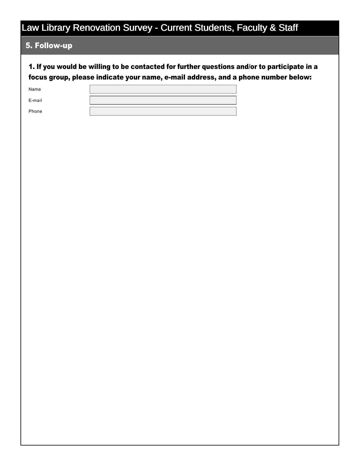#### 5. Follow-up

1. If you would be willing to be contacted for further questions and/or to participate in a focus group, please indicate your name, e-mail address, and a phone number below:

| Name   |  |
|--------|--|
| E-mail |  |
| Phone  |  |